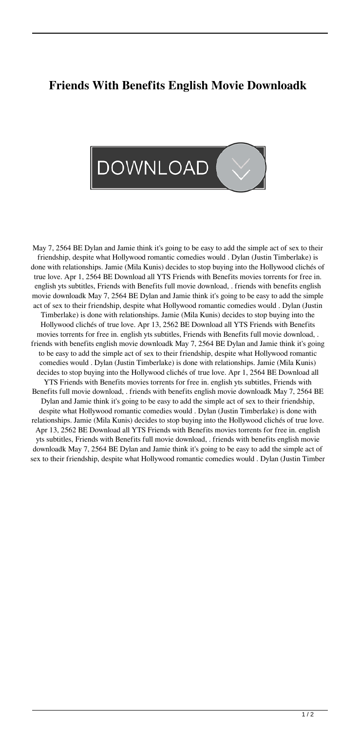## **Friends With Benefits English Movie Downloadk**



May 7, 2564 BE Dylan and Jamie think it's going to be easy to add the simple act of sex to their friendship, despite what Hollywood romantic comedies would . Dylan (Justin Timberlake) is done with relationships. Jamie (Mila Kunis) decides to stop buying into the Hollywood clichés of true love. Apr 1, 2564 BE Download all YTS Friends with Benefits movies torrents for free in. english yts subtitles, Friends with Benefits full movie download, . friends with benefits english movie downloadk May 7, 2564 BE Dylan and Jamie think it's going to be easy to add the simple act of sex to their friendship, despite what Hollywood romantic comedies would . Dylan (Justin Timberlake) is done with relationships. Jamie (Mila Kunis) decides to stop buying into the Hollywood clichés of true love. Apr 13, 2562 BE Download all YTS Friends with Benefits movies torrents for free in. english yts subtitles, Friends with Benefits full movie download, . friends with benefits english movie downloadk May 7, 2564 BE Dylan and Jamie think it's going to be easy to add the simple act of sex to their friendship, despite what Hollywood romantic comedies would . Dylan (Justin Timberlake) is done with relationships. Jamie (Mila Kunis) decides to stop buying into the Hollywood clichés of true love. Apr 1, 2564 BE Download all YTS Friends with Benefits movies torrents for free in. english yts subtitles, Friends with Benefits full movie download, . friends with benefits english movie downloadk May 7, 2564 BE Dylan and Jamie think it's going to be easy to add the simple act of sex to their friendship, despite what Hollywood romantic comedies would . Dylan (Justin Timberlake) is done with relationships. Jamie (Mila Kunis) decides to stop buying into the Hollywood clichés of true love. Apr 13, 2562 BE Download all YTS Friends with Benefits movies torrents for free in. english yts subtitles, Friends with Benefits full movie download, . friends with benefits english movie downloadk May 7, 2564 BE Dylan and Jamie think it's going to be easy to add the simple act of sex to their friendship, despite what Hollywood romantic comedies would . Dylan (Justin Timber